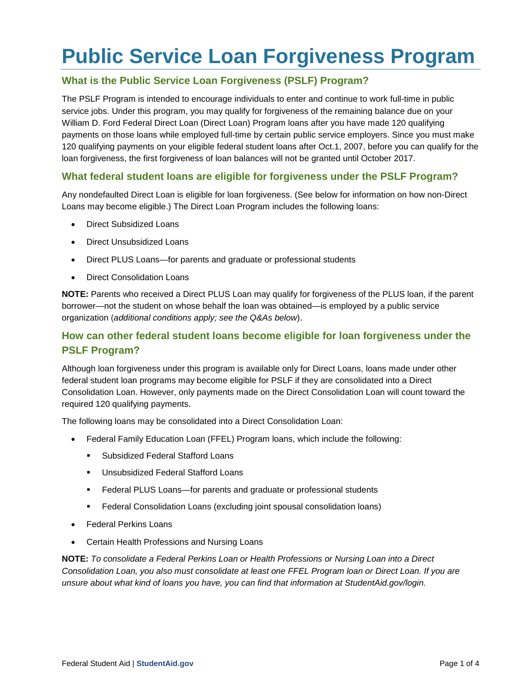# **Public Service Loan Forgiveness Program**

## **What is the Public Service Loan Forgiveness (PSLF) Program?**

The PSLF Program is intended to encourage individuals to enter and continue to work full-time in public service jobs. Under this program, you may qualify for forgiveness of the remaining balance due on your William D. Ford Federal Direct Loan (Direct Loan) Program loans after you have made 120 qualifying payments on those loans while employed full-time by certain public service employers. Since you must make 120 qualifying payments on your eligible federal student loans after Oct.1, 2007, before you can qualify for the loan forgiveness, the first forgiveness of loan balances will not be granted until October 2017.

### **What federal student loans are eligible for forgiveness under the PSLF Program?**

Any nondefaulted Direct Loan is eligible for loan forgiveness. (See below for information on how non-Direct Loans may become eligible.) The Direct Loan Program includes the following loans:

- Direct Subsidized Loans
- Direct Unsubsidized Loans
- Direct PLUS Loans—for parents and graduate or professional students
- Direct Consolidation Loans

**NOTE:** Parents who received a Direct PLUS Loan may qualify for forgiveness of the PLUS loan, if the parent borrower—not the student on whose behalf the loan was obtained—is employed by a public service organization (*additional conditions apply; see the Q&As below*).

## **How can other federal student loans become eligible for loan forgiveness under the PSLF Program?**

Although loan forgiveness under this program is available only for Direct Loans, loans made under other federal student loan programs may become eligible for PSLF if they are consolidated into a Direct Consolidation Loan. However, only payments made on the Direct Consolidation Loan will count toward the required 120 qualifying payments.

The following loans may be consolidated into a Direct Consolidation Loan:

- Federal Family Education Loan (FFEL) Program loans, which include the following:
	- **Subsidized Federal Stafford Loans**
	- **Unsubsidized Federal Stafford Loans**
	- Federal PLUS Loans—for parents and graduate or professional students
	- Federal Consolidation Loans (excluding joint spousal consolidation loans)
- Federal Perkins Loans
- Certain Health Professions and Nursing Loans

**NOTE:** *To consolidate a Federal Perkins Loan or Health Professions or Nursing Loan into a Direct Consolidation Loan, you also must consolidate at least one FFEL Program loan or Direct Loan. If you are unsure about what kind of loans you have, you can find that information at StudentAid.gov/login.*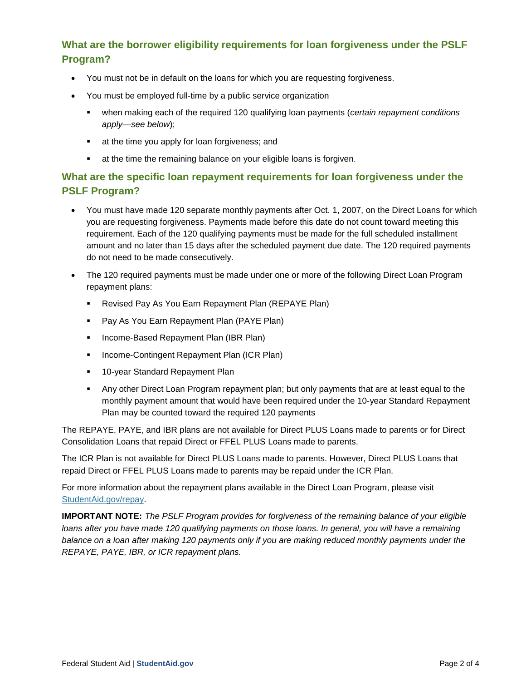# **What are the borrower eligibility requirements for loan forgiveness under the PSLF Program?**

- You must not be in default on the loans for which you are requesting forgiveness.
- You must be employed full-time by a public service organization
	- when making each of the required 120 qualifying loan payments (*certain repayment conditions apply—see below*);
	- **at the time you apply for loan forgiveness; and**
	- at the time the remaining balance on your eligible loans is forgiven.

# **What are the specific loan repayment requirements for loan forgiveness under the PSLF Program?**

- You must have made 120 separate monthly payments after Oct. 1, 2007, on the Direct Loans for which you are requesting forgiveness. Payments made before this date do not count toward meeting this requirement. Each of the 120 qualifying payments must be made for the full scheduled installment amount and no later than 15 days after the scheduled payment due date. The 120 required payments do not need to be made consecutively.
- The 120 required payments must be made under one or more of the following Direct Loan Program repayment plans:
	- Revised Pay As You Earn Repayment Plan (REPAYE Plan)
	- Pay As You Earn Repayment Plan (PAYE Plan)
	- **Income-Based Repayment Plan (IBR Plan)**
	- **Income-Contingent Repayment Plan (ICR Plan)**
	- **10-year Standard Repayment Plan**
	- Any other Direct Loan Program repayment plan; but only payments that are at least equal to the monthly payment amount that would have been required under the 10-year Standard Repayment Plan may be counted toward the required 120 payments

The REPAYE, PAYE, and IBR plans are not available for Direct PLUS Loans made to parents or for Direct Consolidation Loans that repaid Direct or FFEL PLUS Loans made to parents.

The ICR Plan is not available for Direct PLUS Loans made to parents. However, Direct PLUS Loans that repaid Direct or FFEL PLUS Loans made to parents may be repaid under the ICR Plan.

For more information about the repayment plans available in the Direct Loan Program, please visit [StudentAid.gov/repay.](http://www.studentaid.ed.gov/repay-loans)

**IMPORTANT NOTE:** *The PSLF Program provides for forgiveness of the remaining balance of your eligible loans after you have made 120 qualifying payments on those loans. In general, you will have a remaining balance on a loan after making 120 payments only if you are making reduced monthly payments under the REPAYE, PAYE, IBR, or ICR repayment plans.*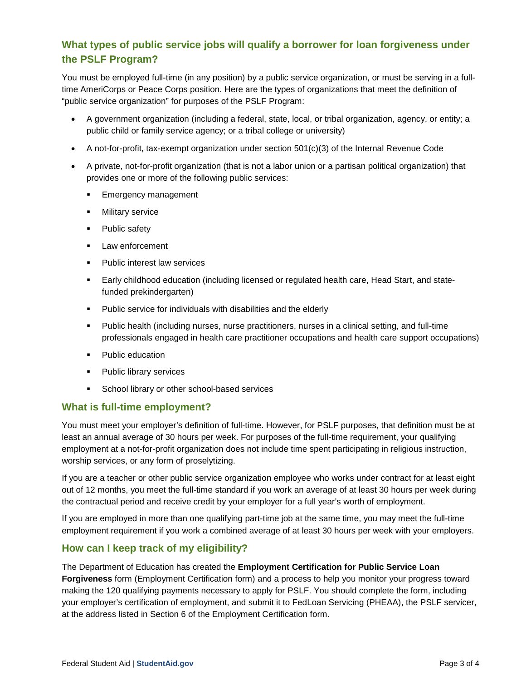# **What types of public service jobs will qualify a borrower for loan forgiveness under the PSLF Program?**

You must be employed full-time (in any position) by a public service organization, or must be serving in a fulltime AmeriCorps or Peace Corps position. Here are the types of organizations that meet the definition of "public service organization" for purposes of the PSLF Program:

- A government organization (including a federal, state, local, or tribal organization, agency, or entity; a public child or family service agency; or a tribal college or university)
- A not-for-profit, tax-exempt organization under section 501(c)(3) of the Internal Revenue Code
- A private, not-for-profit organization (that is not a labor union or a partisan political organization) that provides one or more of the following public services:
	- **Emergency management**
	- Military service
	- Public safety
	- **Law enforcement**
	- Public interest law services
	- Early childhood education (including licensed or regulated health care, Head Start, and statefunded prekindergarten)
	- Public service for individuals with disabilities and the elderly
	- Public health (including nurses, nurse practitioners, nurses in a clinical setting, and full-time professionals engaged in health care practitioner occupations and health care support occupations)
	- Public education
	- Public library services
	- **School library or other school-based services**

#### **What is full-time employment?**

You must meet your employer's definition of full-time. However, for PSLF purposes, that definition must be at least an annual average of 30 hours per week. For purposes of the full-time requirement, your qualifying employment at a not-for-profit organization does not include time spent participating in religious instruction, worship services, or any form of proselytizing.

If you are a teacher or other public service organization employee who works under contract for at least eight out of 12 months, you meet the full-time standard if you work an average of at least 30 hours per week during the contractual period and receive credit by your employer for a full year's worth of employment.

If you are employed in more than one qualifying part-time job at the same time, you may meet the full-time employment requirement if you work a combined average of at least 30 hours per week with your employers.

#### **How can I keep track of my eligibility?**

The Department of Education has created the **Employment Certification for Public Service Loan Forgiveness** form (Employment Certification form) and a process to help you monitor your progress toward making the 120 qualifying payments necessary to apply for PSLF. You should complete the form, including your employer's certification of employment, and submit it to FedLoan Servicing (PHEAA), the PSLF servicer, at the address listed in Section 6 of the Employment Certification form.